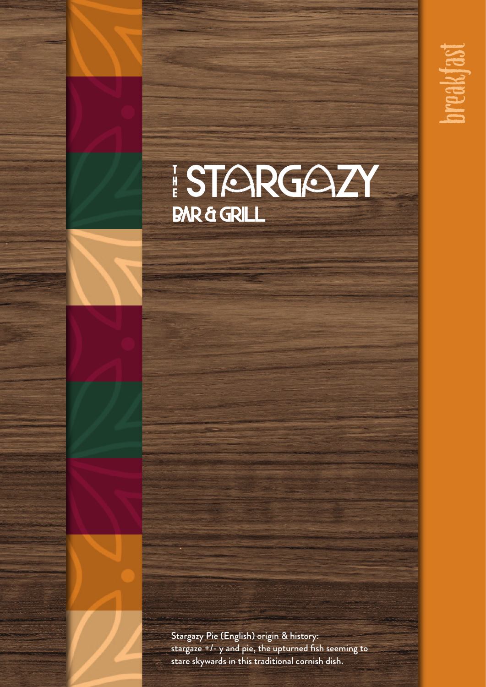



Stargazy Pie (English) origin & history: stargaze +/- y and pie, the upturned fish seeming to stare skywards in this traditional cornish dish.